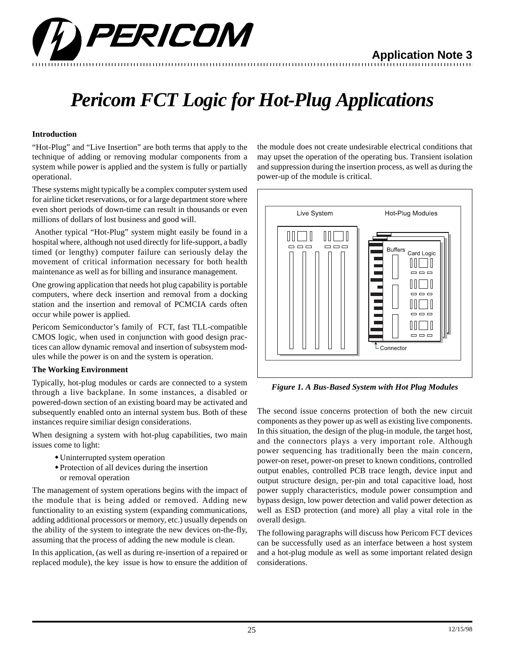

# *Pericom FCT Logic for Hot-Plug Applications*

## **Introduction**

"Hot-Plug" and "Live Insertion" are both terms that apply to the technique of adding or removing modular components from a system while power is applied and the system is fully or partially operational.

These systems might typically be a complex computer system used for airline ticket reservations, or for a large department store where even short periods of down-time can result in thousands or even millions of dollars of lost business and good will.

 Another typical "Hot-Plug" system might easily be found in a hospital where, although not used directly for life-support, a badly timed (or lengthy) computer failure can seriously delay the movement of critical information necessary for both health maintenance as well as for billing and insurance management.

One growing application that needs hot plug capability is portable computers, where deck insertion and removal from a docking station and the insertion and removal of PCMCIA cards often occur while power is applied.

Pericom Semiconductor's family of FCT, fast TLL-compatible CMOS logic, when used in conjunction with good design practices can allow dynamic removal and insertion of subsystem modules while the power is on and the system is operation.

#### **The Working Environment**

Typically, hot-plug modules or cards are connected to a system through a live backplane. In some instances, a disabled or powered-down section of an existing board may be activated and subsequently enabled onto an internal system bus. Both of these instances require similiar design considerations.

When designing a system with hot-plug capabilities, two main issues come to light:

- Uninterrupted system operation
- $\bullet$  Protection of all devices during the insertion or removal operation

The management of system operations begins with the impact of the module that is being added or removed. Adding new functionality to an existing system (expanding communications, adding additional processors or memory, etc.) usually depends on the ability of the system to integrate the new devices on-the-fly, assuming that the process of adding the new module is clean.

In this application, (as well as during re-insertion of a repaired or replaced module), the key issue is how to ensure the addition of the module does not create undesirable electrical conditions that may upset the operation of the operating bus. Transient isolation and suppression during the insertion process, as well as during the power-up of the module is critical.



*Figure 1. A Bus-Based System with Hot Plug Modules*

The second issue concerns protection of both the new circuit components as they power up as well as existing live components. In this situation, the design of the plug-in module, the target host, and the connectors plays a very important role. Although power sequencing has traditionally been the main concern, power-on reset, power-on preset to known conditions, controlled output enables, controlled PCB trace length, device input and output structure design, per-pin and total capacitive load, host power supply characteristics, module power consumption and bypass design, low power detection and valid power detection as well as ESD protection (and more) all play a vital role in the overall design.

The following paragraphs will discuss how Pericom FCT devices can be successfully used as an interface between a host system and a hot-plug module as well as some important related design considerations.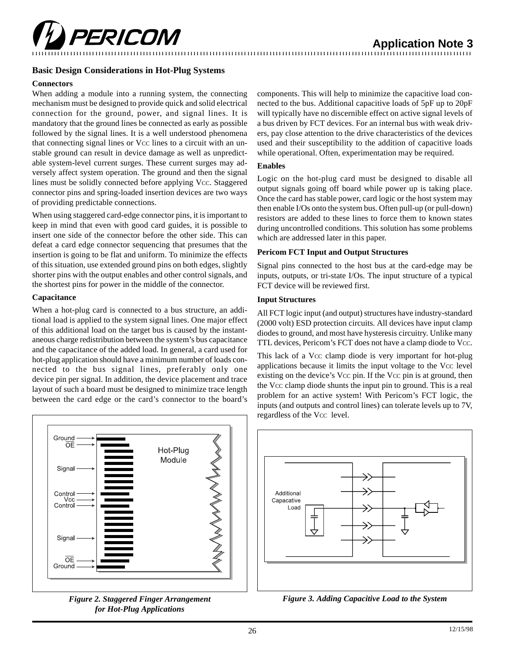

## **Basic Design Considerations in Hot-Plug Systems**

#### **Connectors**

When adding a module into a running system, the connecting mechanism must be designed to provide quick and solid electrical connection for the ground, power, and signal lines. It is mandatory that the ground lines be connected as early as possible followed by the signal lines. It is a well understood phenomena that connecting signal lines or Vcc lines to a circuit with an unstable ground can result in device damage as well as unpredictable system-level current surges. These current surges may adversely affect system operation. The ground and then the signal lines must be solidly connected before applying Vcc. Staggered connector pins and spring-loaded insertion devices are two ways of providing predictable connections.

When using staggered card-edge connector pins, it is important to keep in mind that even with good card guides, it is possible to insert one side of the connector before the other side. This can defeat a card edge connector sequencing that presumes that the insertion is going to be flat and uniform. To minimize the effects of this situation, use extended ground pins on both edges, slightly shorter pins with the output enables and other control signals, and the shortest pins for power in the middle of the connector.

#### **Capacitance**

When a hot-plug card is connected to a bus structure, an additional load is applied to the system signal lines. One major effect of this additional load on the target bus is caused by the instantaneous charge redistribution between the system's bus capacitance and the capacitance of the added load. In general, a card used for hot-plug application should have a minimum number of loads connected to the bus signal lines, preferably only one device pin per signal. In addition, the device placement and trace layout of such a board must be designed to minimize trace length between the card edge or the card's connector to the board's



*Figure 2. Staggered Finger Arrangement for Hot-Plug Applications*

components. This will help to minimize the capacitive load connected to the bus. Additional capacitive loads of 5pF up to 20pF will typically have no discernible effect on active signal levels of a bus driven by FCT devices. For an internal bus with weak drivers, pay close attention to the drive characteristics of the devices used and their susceptibility to the addition of capacitive loads while operational. Often, experimentation may be required.

#### **Enables**

Logic on the hot-plug card must be designed to disable all output signals going off board while power up is taking place. Once the card has stable power, card logic or the host system may then enable I/Os onto the system bus. Often pull-up (or pull-down) resistors are added to these lines to force them to known states during uncontrolled conditions. This solution has some problems which are addressed later in this paper.

#### **Pericom FCT Input and Output Structures**

Signal pins connected to the host bus at the card-edge may be inputs, outputs, or tri-state I/Os. The input structure of a typical FCT device will be reviewed first.

#### **Input Structures**

All FCT logic input (and output) structures have industry-standard (2000 volt) ESD protection circuits. All devices have input clamp diodes to ground, and most have hysteresis circuitry. Unlike many TTL devices, Pericom's FCT does not have a clamp diode to Vcc.

This lack of a Vcc clamp diode is very important for hot-plug applications because it limits the input voltage to the Vcc level existing on the device's Vcc pin. If the Vcc pin is at ground, then the Vcc clamp diode shunts the input pin to ground. This is a real problem for an active system! With Pericom's FCT logic, the inputs (and outputs and control lines) can tolerate levels up to 7V, regardless of the Vcc level.



*Figure 3. Adding Capacitive Load to the System*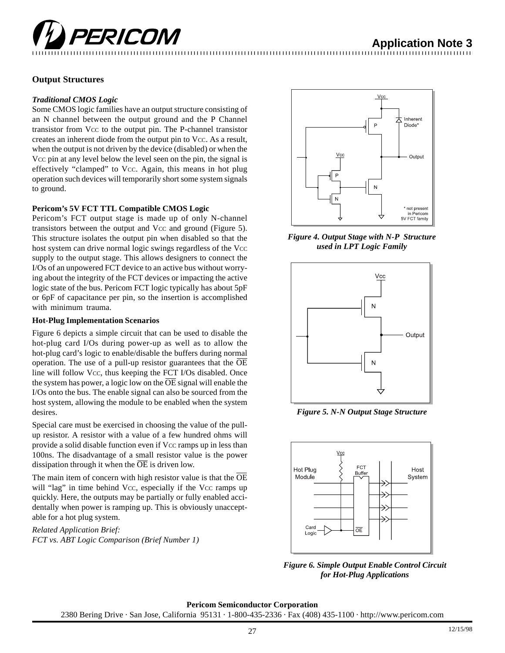

# **Output Structures**

#### *Traditional CMOS Logic*

Some CMOS logic families have an output structure consisting of an N channel between the output ground and the P Channel transistor from Vcc to the output pin. The P-channel transistor creates an inherent diode from the output pin to Vcc. As a result, when the output is not driven by the device (disabled) or when the Vcc pin at any level below the level seen on the pin, the signal is effectively "clamped" to Vcc. Again, this means in hot plug operation such devices will temporarily short some system signals to ground.

# **Pericom's 5V FCT TTL Compatible CMOS Logic**

Pericom's FCT output stage is made up of only N-channel transistors between the output and Vcc and ground (Figure 5). This structure isolates the output pin when disabled so that the host system can drive normal logic swings regardless of the Vcc supply to the output stage. This allows designers to connect the I/Os of an unpowered FCT device to an active bus without worrying about the integrity of the FCT devices or impacting the active logic state of the bus. Pericom FCT logic typically has about 5pF or 6pF of capacitance per pin, so the insertion is accomplished with minimum trauma.

#### **Hot-Plug Implementation Scenarios**

Figure 6 depicts a simple circuit that can be used to disable the hot-plug card I/Os during power-up as well as to allow the hot-plug card's logic to enable/disable the buffers during normal operation. The use of a pull-up resistor guarantees that the OE line will follow Vcc, thus keeping the FCT I/Os disabled. Once the system has power, a logic low on the  $\overline{OE}$  signal will enable the I/Os onto the bus. The enable signal can also be sourced from the host system, allowing the module to be enabled when the system desires.

Special care must be exercised in choosing the value of the pullup resistor. A resistor with a value of a few hundred ohms will provide a solid disable function even if Vcc ramps up in less than 100ns. The disadvantage of a small resistor value is the power dissipation through it when the  $\overline{OE}$  is driven low.

The main item of concern with high resistor value is that the OE will "lag" in time behind Vcc, especially if the Vcc ramps up quickly. Here, the outputs may be partially or fully enabled accidentally when power is ramping up. This is obviously unacceptable for a hot plug system.

*Related Application Brief: FCT vs. ABT Logic Comparison (Brief Number 1)*



*Figure 4. Output Stage with N-P Structure used in LPT Logic Family*



*Figure 5. N-N Output Stage Structure*



*Figure 6. Simple Output Enable Control Circuit for Hot-Plug Applications*

**Pericom Semiconductor Corporation** 2380 Bering Drive · San Jose, California 95131 · 1-800-435-2336 · Fax (408) 435-1100 · http://www.pericom.com